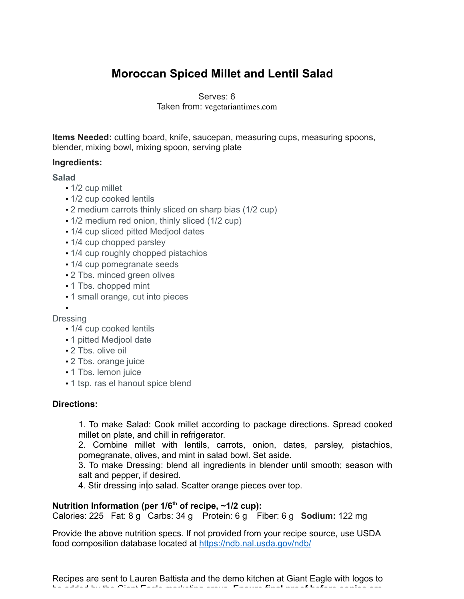# **Moroccan Spiced Millet and Lentil Salad**

Serves: 6 Taken from: vegetariantimes.com

**Items Needed:** cutting board, knife, saucepan, measuring cups, measuring spoons, blender, mixing bowl, mixing spoon, serving plate

### **Ingredients:**

### **Salad**

- 1/2 cup millet
- 1/2 cup cooked lentils
- 2 medium carrots thinly sliced on sharp bias (1/2 cup)
- 1/2 medium red onion, thinly sliced (1/2 cup)
- 1/4 cup sliced pitted Mediool dates
- 1/4 cup chopped parsley
- 1/4 cup roughly chopped pistachios
- 1/4 cup pomegranate seeds
- 2 Tbs. minced green olives
- 1 Tbs. chopped mint
- 1 small orange, cut into pieces

#### • Dressing

- 1/4 cup cooked lentils
- 1 pitted Medjool date
- 2 Tbs. olive oil
- 2 Tbs. orange juice
- 1 Tbs. lemon juice
- 1 tsp. ras el hanout spice blend

### **Directions:**

1. To make Salad: Cook millet according to package directions. Spread cooked millet on plate, and chill in refrigerator.

2. Combine millet with lentils, carrots, onion, dates, parsley, pistachios, pomegranate, olives, and mint in salad bowl. Set aside.

3. To make Dressing: blend all ingredients in blender until smooth; season with salt and pepper, if desired.

4. Stir dressing into salad. Scatter orange pieces over top.

## Nutrition Information (per 1/6<sup>th</sup> of recipe, ~1/2 cup):

Calories: 225 Fat: 8 g Carbs: 34 g Protein: 6 g Fiber: 6 g **Sodium:** 122 mg

Provide the above nutrition specs. If not provided from your recipe source, use USDA food composition database located at https://ndb.nal.usda.gov/ndb/